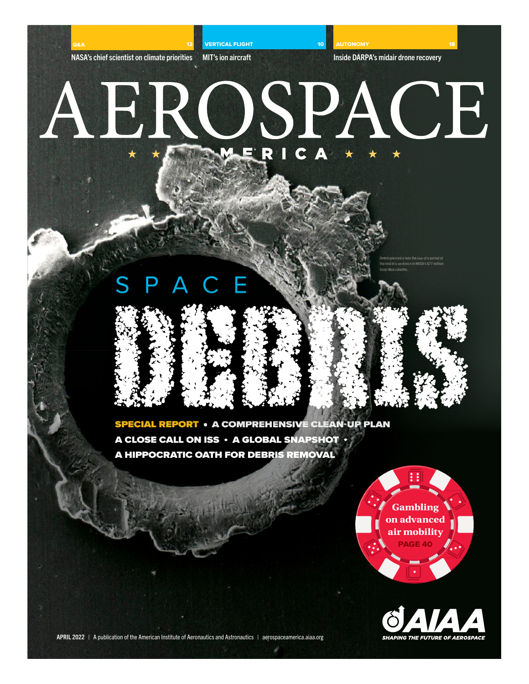NASA's chief scientist on climate priorities

VERTICAL FLIGHT

MIT's ion aircraft

**AUTONOMY** 

10

Inside DARPA's midair drone recovery

## AEROSPACE

S P A C

Debris pierced a hole the size of a period at .<br>Id of a sentence in NASA's \$77 m Solar Max satellite.





SPECIAL REPORT • A COMPREHENSIVE CLEAN-UP PLAN A CLOSE CALL ON ISS • A GLOBAL SNAPSHOT A HIPPOCRATIC OATH FOR DEBRIS REMOVAL